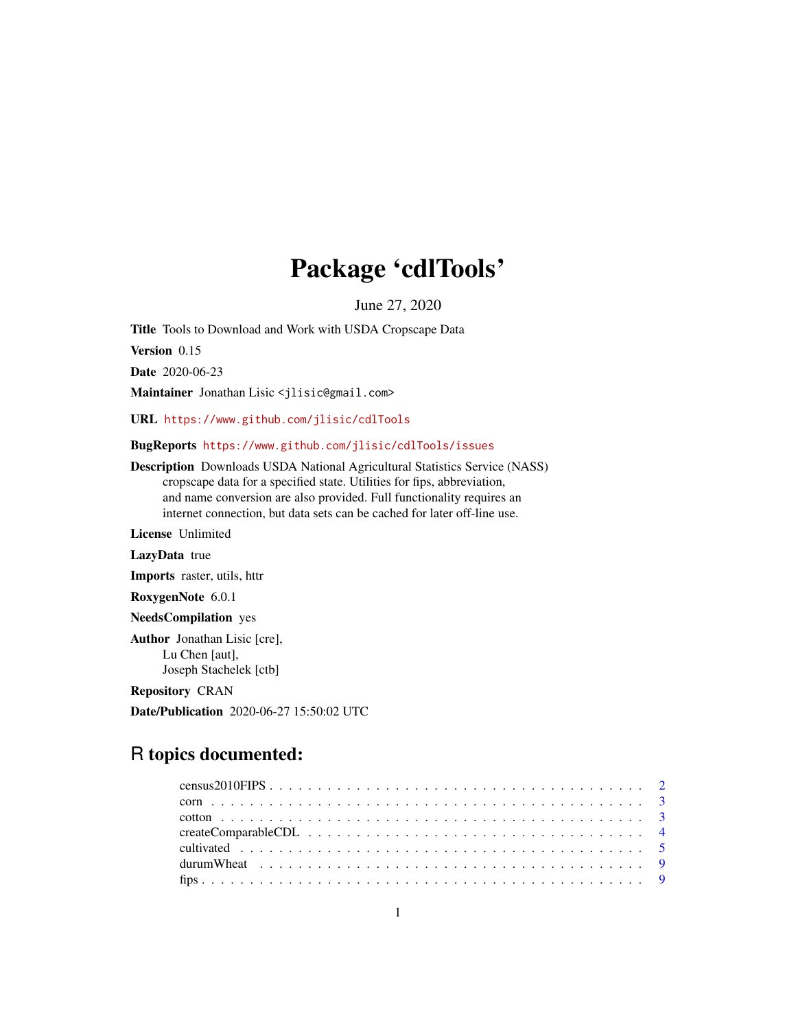# Package 'cdlTools'

June 27, 2020

Title Tools to Download and Work with USDA Cropscape Data

Version 0.15

Date 2020-06-23

Maintainer Jonathan Lisic <jlisic@gmail.com>

URL <https://www.github.com/jlisic/cdlTools>

BugReports <https://www.github.com/jlisic/cdlTools/issues>

Description Downloads USDA National Agricultural Statistics Service (NASS) cropscape data for a specified state. Utilities for fips, abbreviation, and name conversion are also provided. Full functionality requires an internet connection, but data sets can be cached for later off-line use.

License Unlimited

LazyData true

Imports raster, utils, httr

RoxygenNote 6.0.1

NeedsCompilation yes

Author Jonathan Lisic [cre], Lu Chen [aut], Joseph Stachelek [ctb]

Repository CRAN

Date/Publication 2020-06-27 15:50:02 UTC

## R topics documented: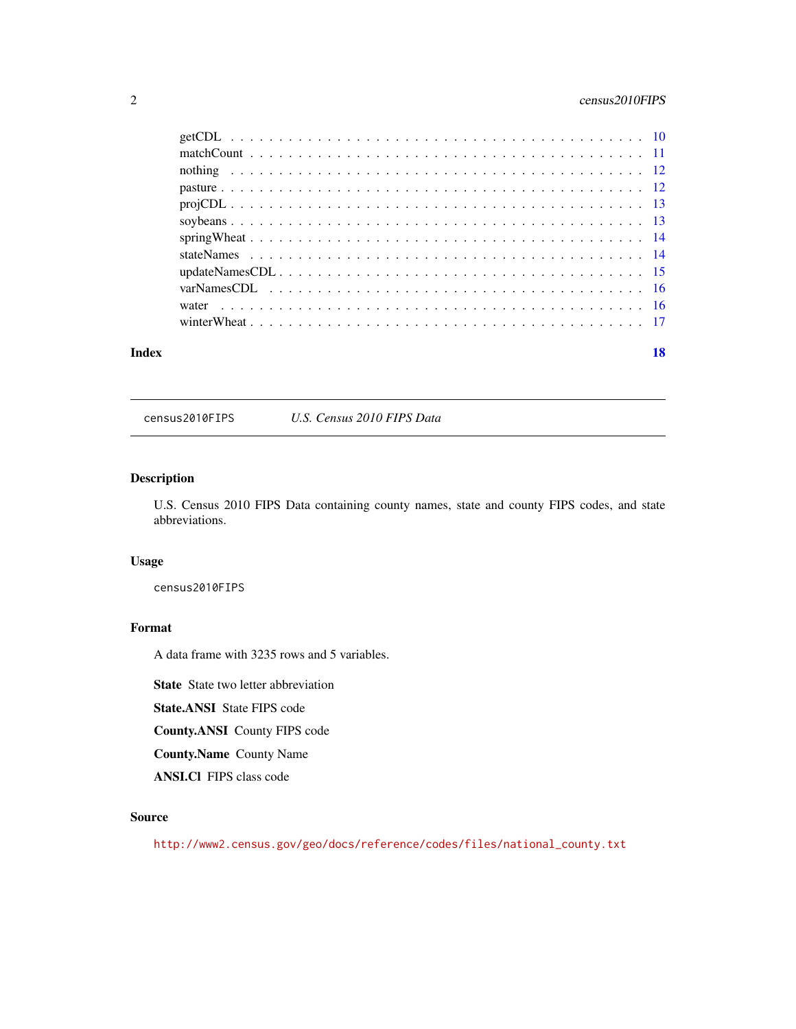#### <span id="page-1-0"></span>2 census2010FIPS

| Index | 18 |
|-------|----|
|       |    |
|       |    |
|       |    |
|       |    |
|       |    |
|       |    |
|       |    |
|       |    |
|       |    |
|       |    |
|       |    |
|       |    |

census2010FIPS *U.S. Census 2010 FIPS Data*

#### Description

U.S. Census 2010 FIPS Data containing county names, state and county FIPS codes, and state abbreviations.

#### Usage

census2010FIPS

#### Format

A data frame with 3235 rows and 5 variables.

State State two letter abbreviation

State.ANSI State FIPS code

County.ANSI County FIPS code

County.Name County Name

ANSI.Cl FIPS class code

#### Source

[http://www2.census.gov/geo/docs/reference/codes/files/national\\_county.txt](http://www2.census.gov/geo/docs/reference/codes/files/national_county.txt)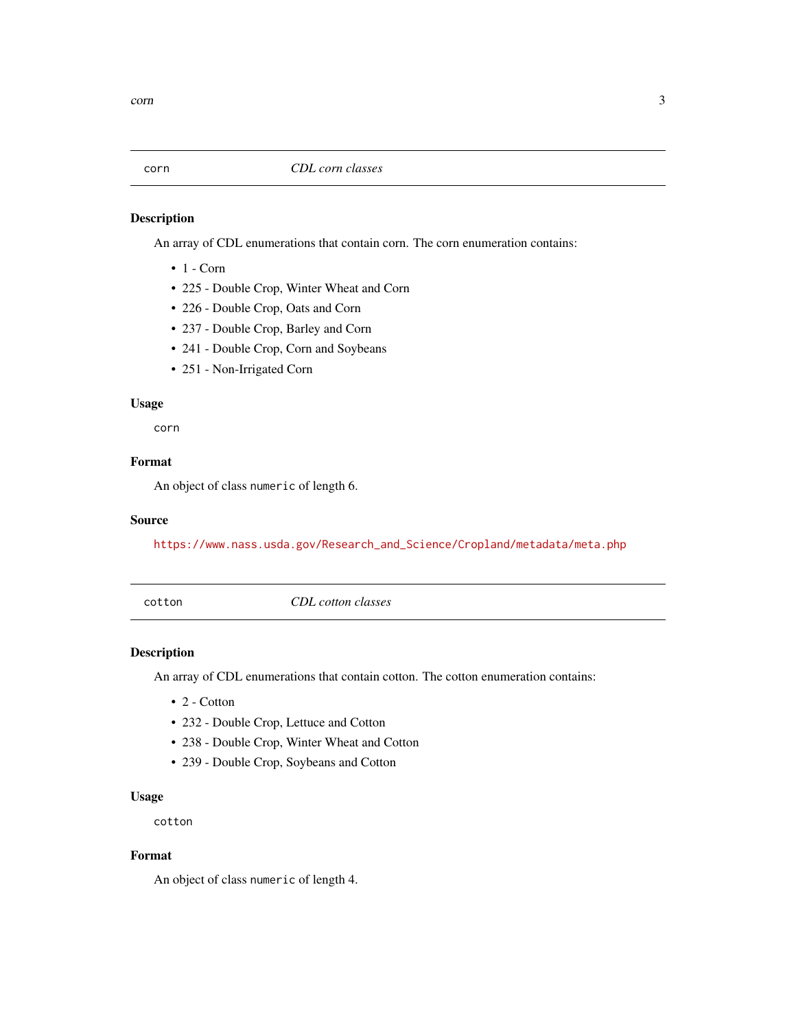<span id="page-2-0"></span>

An array of CDL enumerations that contain corn. The corn enumeration contains:

- $\bullet$  1 Corn
- 225 Double Crop, Winter Wheat and Corn
- 226 Double Crop, Oats and Corn
- 237 Double Crop, Barley and Corn
- 241 Double Crop, Corn and Soybeans
- 251 Non-Irrigated Corn

#### Usage

corn

#### Format

An object of class numeric of length 6.

#### Source

[https://www.nass.usda.gov/Research\\_and\\_Science/Cropland/metadata/meta.php](https://www.nass.usda.gov/Research_and_Science/Cropland/metadata/meta.php)

cotton *CDL cotton classes*

#### Description

An array of CDL enumerations that contain cotton. The cotton enumeration contains:

- 2 Cotton
- 232 Double Crop, Lettuce and Cotton
- 238 Double Crop, Winter Wheat and Cotton
- 239 Double Crop, Soybeans and Cotton

#### Usage

cotton

#### Format

An object of class numeric of length 4.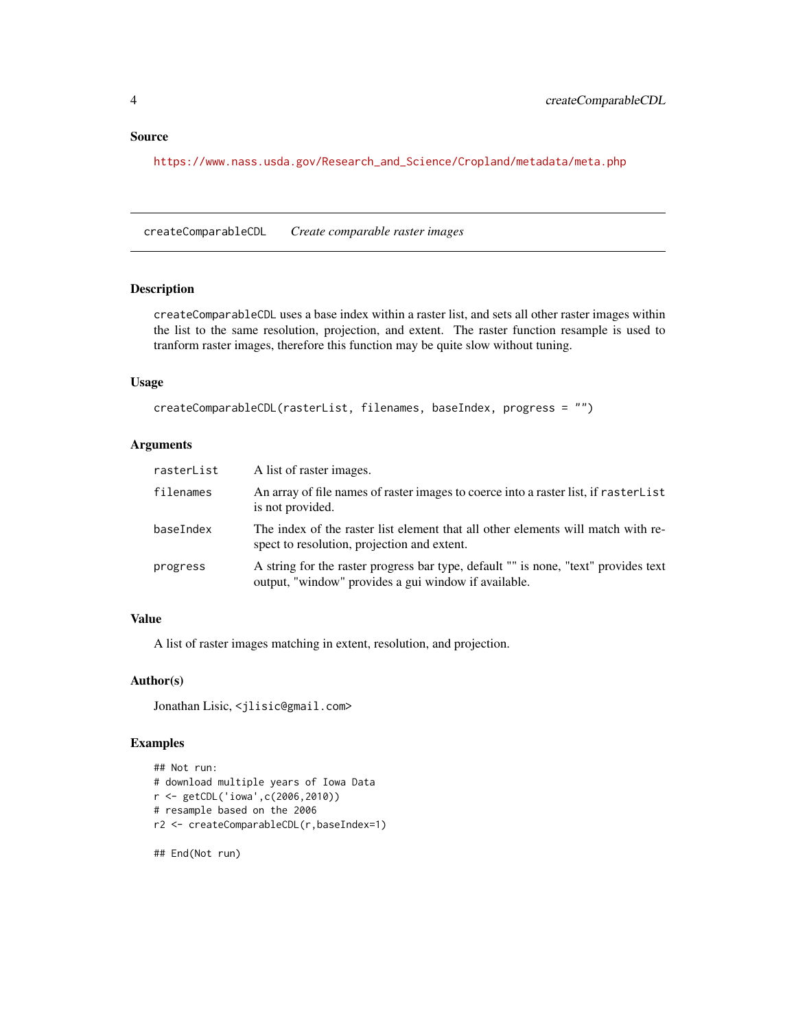<span id="page-3-0"></span>[https://www.nass.usda.gov/Research\\_and\\_Science/Cropland/metadata/meta.php](https://www.nass.usda.gov/Research_and_Science/Cropland/metadata/meta.php)

createComparableCDL *Create comparable raster images*

#### Description

createComparableCDL uses a base index within a raster list, and sets all other raster images within the list to the same resolution, projection, and extent. The raster function resample is used to tranform raster images, therefore this function may be quite slow without tuning.

#### Usage

```
createComparableCDL(rasterList, filenames, baseIndex, progress = "")
```
#### Arguments

| rasterList | A list of raster images.                                                                                                                    |
|------------|---------------------------------------------------------------------------------------------------------------------------------------------|
| filenames  | An array of file names of raster images to coerce into a raster list, if raster List<br>is not provided.                                    |
| baseIndex  | The index of the raster list element that all other elements will match with re-<br>spect to resolution, projection and extent.             |
| progress   | A string for the raster progress bar type, default "" is none, "text" provides text<br>output, "window" provides a gui window if available. |

#### Value

A list of raster images matching in extent, resolution, and projection.

#### Author(s)

Jonathan Lisic, <jlisic@gmail.com>

#### Examples

```
## Not run:
# download multiple years of Iowa Data
r <- getCDL('iowa',c(2006,2010))
# resample based on the 2006
r2 <- createComparableCDL(r,baseIndex=1)
```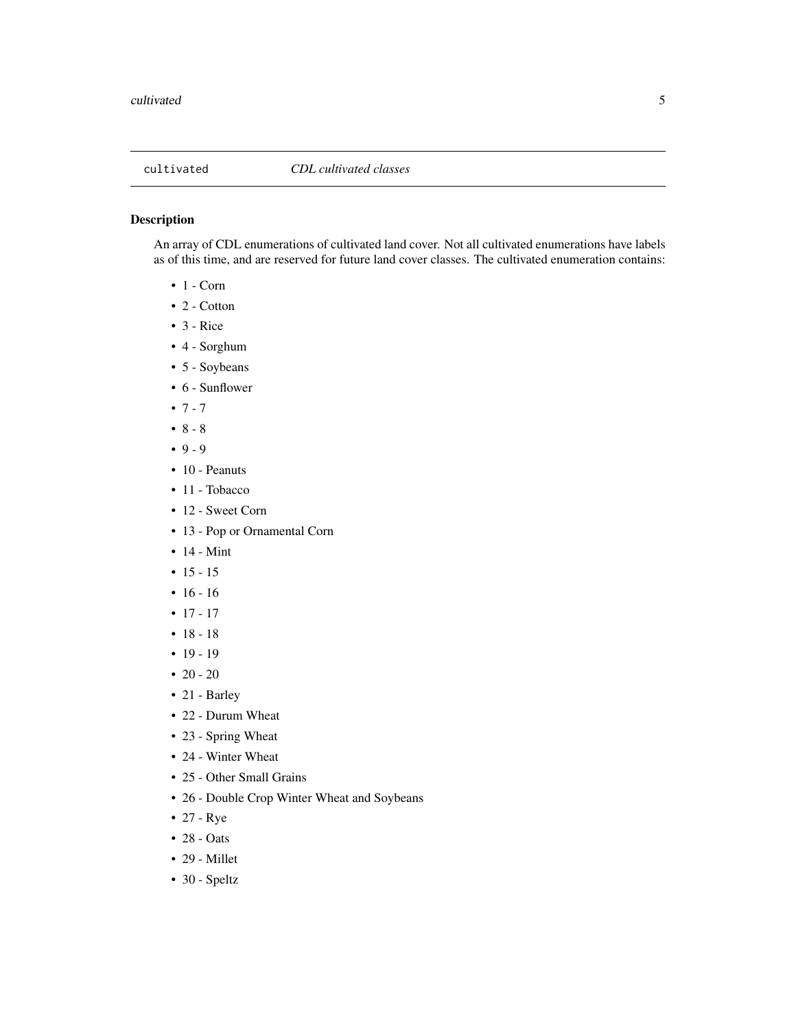<span id="page-4-0"></span>

An array of CDL enumerations of cultivated land cover. Not all cultivated enumerations have labels as of this time, and are reserved for future land cover classes. The cultivated enumeration contains:

- $\bullet$  1 Corn
- $\bullet$  2 Cotton
- $\bullet$  3 Rice
- 4 Sorghum
- 5 Soybeans
- 6 Sunflower
- $7 7$
- $8 8$
- $9 9$
- 10 Peanuts
- 11 Tobacco
- 12 Sweet Corn
- 13 Pop or Ornamental Corn
- 14 Mint
- $15 15$
- $16 16$
- 17 17
- 18 18
- $19 19$
- $20 20$
- 21 Barley
- 22 Durum Wheat
- 23 Spring Wheat
- 24 Winter Wheat
- 25 Other Small Grains
- 26 Double Crop Winter Wheat and Soybeans
- 27 Rye
- 28 Oats
- 29 Millet
- 30 Speltz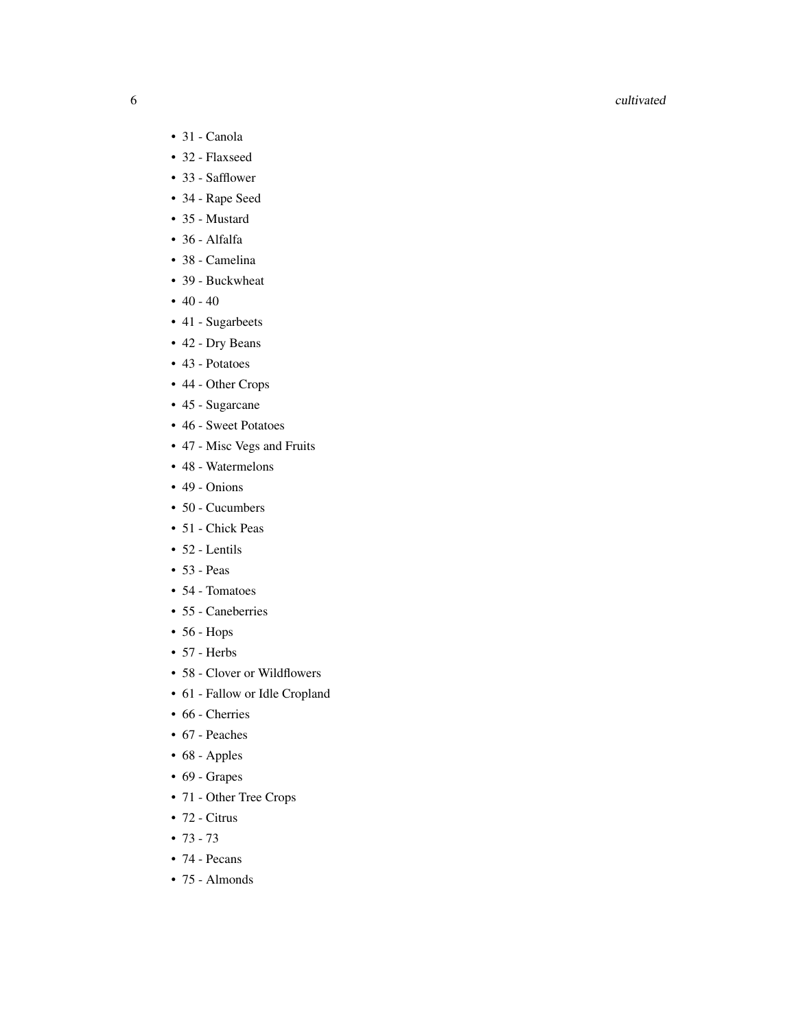#### 6 cultivated

- 31 Canola
- 32 Flaxseed
- 33 Safflower
- 34 Rape Seed
- 35 Mustard
- 36 Alfalfa
- 38 Camelina
- 39 Buckwheat
- $40 40$
- 41 Sugarbeets
- 42 Dry Beans
- 43 Potatoes
- 44 Other Crops
- 45 Sugarcane
- 46 Sweet Potatoes
- 47 Misc Vegs and Fruits
- 48 Watermelons
- 49 Onions
- 50 Cucumbers
- 51 Chick Peas
- 52 Lentils
- 53 Peas
- 54 Tomatoes
- 55 Caneberries
- 56 Hops
- 57 Herbs
- 58 Clover or Wildflowers
- 61 Fallow or Idle Cropland
- 66 Cherries
- 67 Peaches
- 68 Apples
- 69 Grapes
- 71 Other Tree Crops
- 72 Citrus
- $73 73$
- 74 Pecans
- 75 Almonds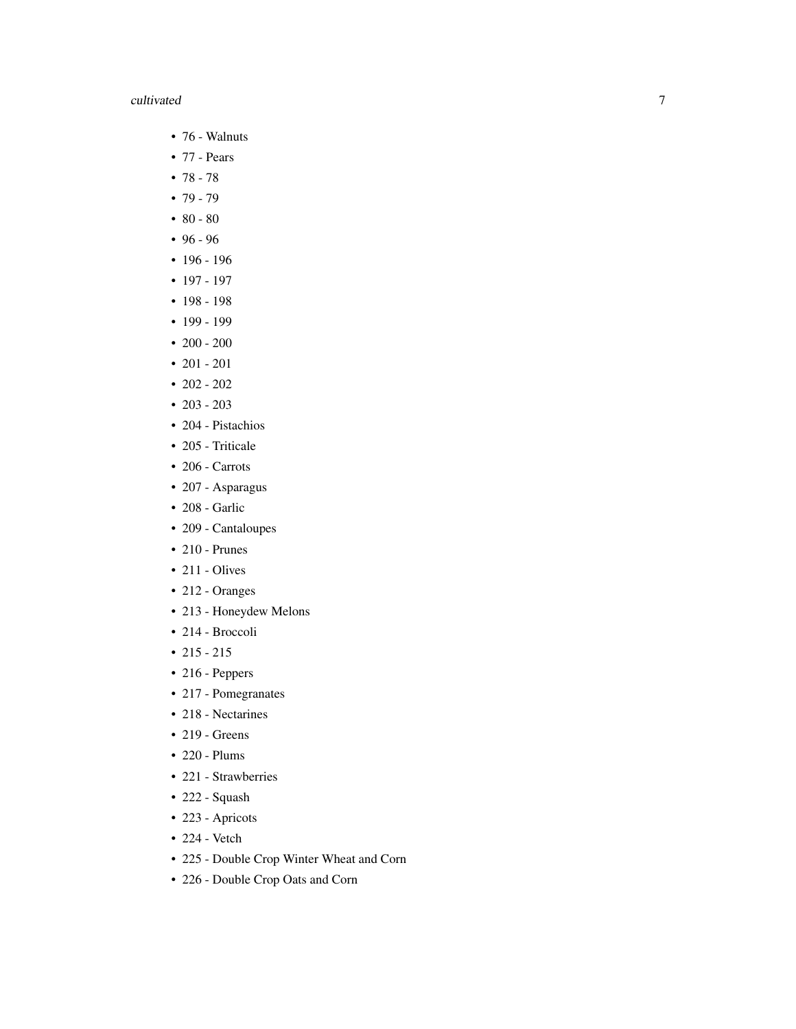#### cultivated 7 and 2008 and 2008 and 2008 and 2008 and 2008 and 2008 and 2008 and 2008 and 2008 and 2008 and 200

- 76 Walnuts
- 77 Pears
- $78 78$
- 79 79
- $80 80$
- $96 96$
- 196 196
- 197 197
- 198 198
- 199 199
- 200 200
- 201 201
- 202 202
- $203 203$
- 204 Pistachios
- 205 Triticale
- 206 Carrots
- 207 Asparagus
- 208 Garlic
- 209 Cantaloupes
- 210 Prunes
- 211 Olives
- 212 Oranges
- 213 Honeydew Melons
- 214 Broccoli
- $215 215$
- 216 Peppers
- 217 Pomegranates
- 218 Nectarines
- 219 Greens
- 220 Plums
- 221 Strawberries
- 222 Squash
- 223 Apricots
- 224 Vetch
- 225 Double Crop Winter Wheat and Corn
- 226 Double Crop Oats and Corn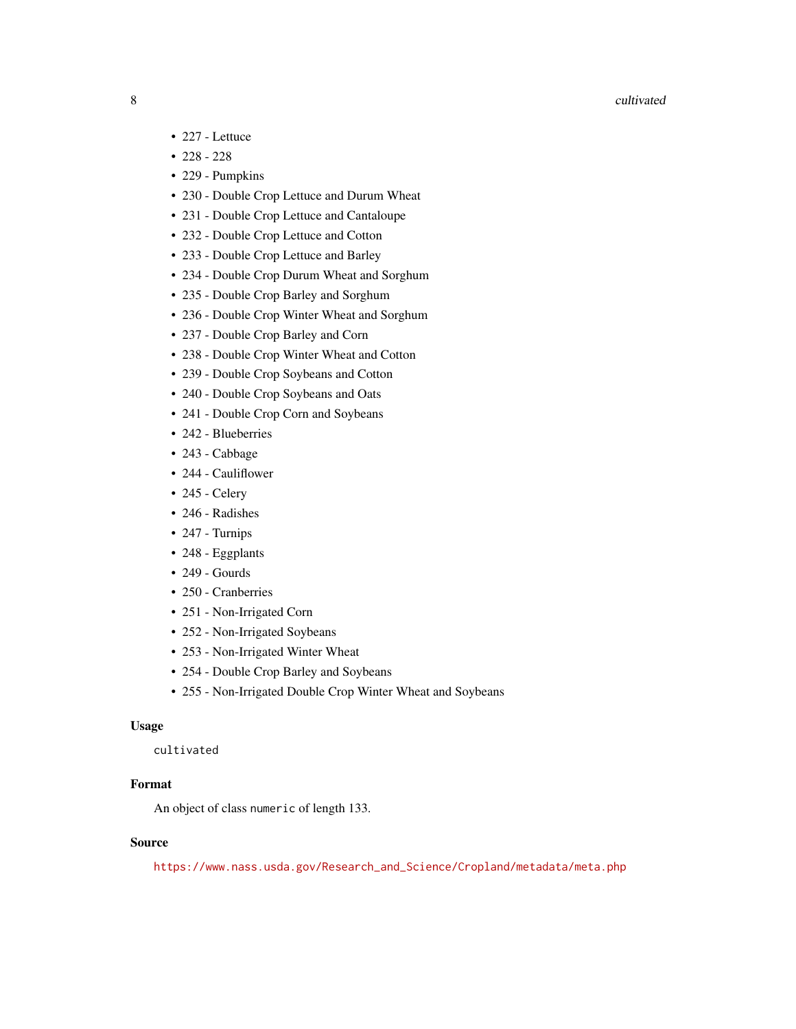#### 8 cultivated and the contract of the contract of the contract of the contract of the contract of the contract of the contract of the contract of the contract of the contract of the contract of the contract of the contract

- 227 Lettuce
- 228 228
- 229 Pumpkins
- 230 Double Crop Lettuce and Durum Wheat
- 231 Double Crop Lettuce and Cantaloupe
- 232 Double Crop Lettuce and Cotton
- 233 Double Crop Lettuce and Barley
- 234 Double Crop Durum Wheat and Sorghum
- 235 Double Crop Barley and Sorghum
- 236 Double Crop Winter Wheat and Sorghum
- 237 Double Crop Barley and Corn
- 238 Double Crop Winter Wheat and Cotton
- 239 Double Crop Soybeans and Cotton
- 240 Double Crop Soybeans and Oats
- 241 Double Crop Corn and Soybeans
- 242 Blueberries
- 243 Cabbage
- 244 Cauliflower
- 245 Celery
- 246 Radishes
- 247 Turnips
- 248 Eggplants
- 249 Gourds
- 250 Cranberries
- 251 Non-Irrigated Corn
- 252 Non-Irrigated Soybeans
- 253 Non-Irrigated Winter Wheat
- 254 Double Crop Barley and Soybeans
- 255 Non-Irrigated Double Crop Winter Wheat and Soybeans

#### Usage

#### cultivated

#### Format

An object of class numeric of length 133.

#### Source

[https://www.nass.usda.gov/Research\\_and\\_Science/Cropland/metadata/meta.php](https://www.nass.usda.gov/Research_and_Science/Cropland/metadata/meta.php)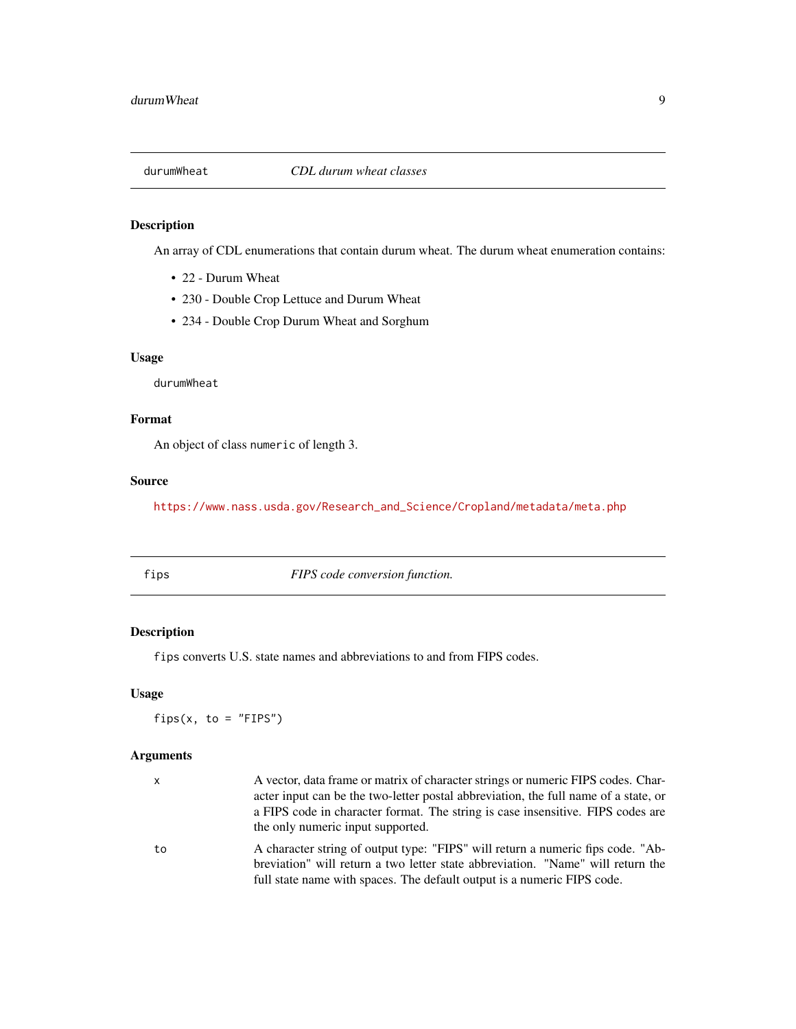<span id="page-8-0"></span>

An array of CDL enumerations that contain durum wheat. The durum wheat enumeration contains:

- 22 Durum Wheat
- 230 Double Crop Lettuce and Durum Wheat
- 234 Double Crop Durum Wheat and Sorghum

#### Usage

durumWheat

#### Format

An object of class numeric of length 3.

#### Source

[https://www.nass.usda.gov/Research\\_and\\_Science/Cropland/metadata/meta.php](https://www.nass.usda.gov/Research_and_Science/Cropland/metadata/meta.php)

fips *FIPS code conversion function.*

#### Description

fips converts U.S. state names and abbreviations to and from FIPS codes.

#### Usage

fips(x, to =  $"FIPS")$ 

#### Arguments

| <b>X</b> | A vector, data frame or matrix of character strings or numeric FIPS codes. Char-<br>acter input can be the two-letter postal abbreviation, the full name of a state, or<br>a FIPS code in character format. The string is case insensitive. FIPS codes are<br>the only numeric input supported. |
|----------|-------------------------------------------------------------------------------------------------------------------------------------------------------------------------------------------------------------------------------------------------------------------------------------------------|
| to       | A character string of output type: "FIPS" will return a numeric fips code. "Ab-<br>breviation" will return a two letter state abbreviation. "Name" will return the<br>full state name with spaces. The default output is a numeric FIPS code.                                                   |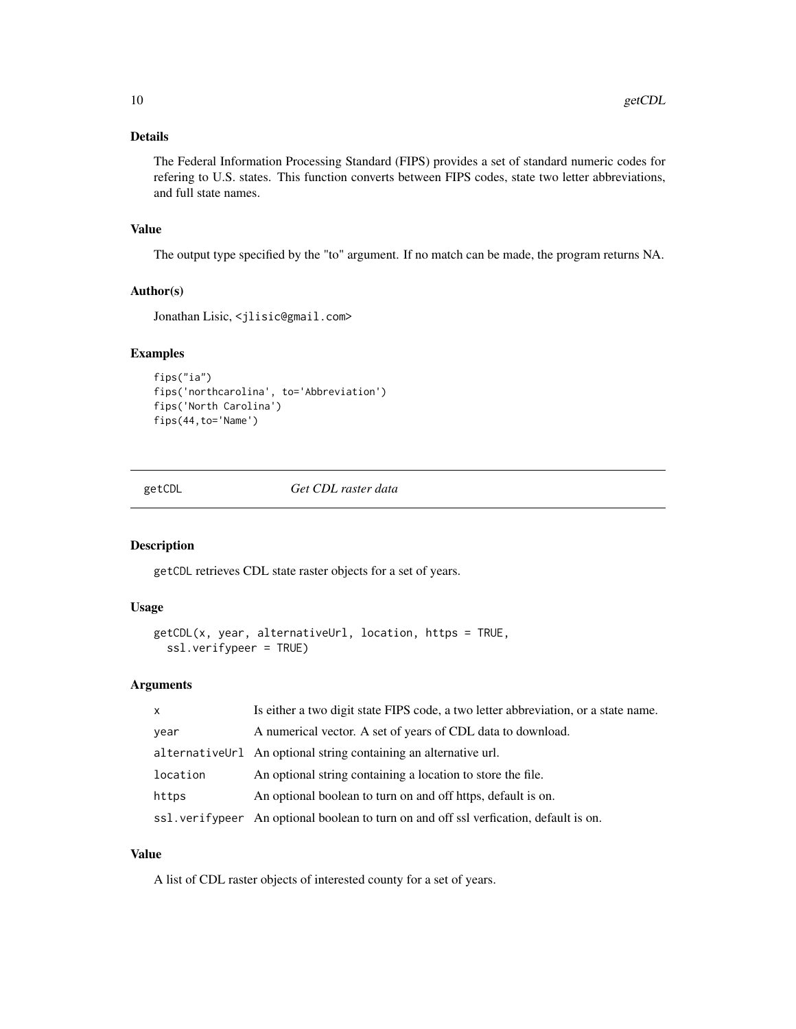#### <span id="page-9-0"></span>Details

The Federal Information Processing Standard (FIPS) provides a set of standard numeric codes for refering to U.S. states. This function converts between FIPS codes, state two letter abbreviations, and full state names.

#### Value

The output type specified by the "to" argument. If no match can be made, the program returns NA.

#### Author(s)

Jonathan Lisic, <jlisic@gmail.com>

#### Examples

```
fips("ia")
fips('northcarolina', to='Abbreviation')
fips('North Carolina')
fips(44,to='Name')
```
getCDL *Get CDL raster data*

#### Description

getCDL retrieves CDL state raster objects for a set of years.

#### Usage

```
getCDL(x, year, alternativeUrl, location, https = TRUE,
  ssl.verifypeer = TRUE)
```
#### Arguments

| $\mathsf{x}$ | Is either a two digit state FIPS code, a two letter abbreviation, or a state name.     |
|--------------|----------------------------------------------------------------------------------------|
| year         | A numerical vector. A set of years of CDL data to download.                            |
|              | alternativeUrl An optional string containing an alternative url.                       |
| location     | An optional string containing a location to store the file.                            |
| https        | An optional boolean to turn on and off https, default is on.                           |
|              | ssl. verifypeer An optional boolean to turn on and off ssl verfication, default is on. |

#### Value

A list of CDL raster objects of interested county for a set of years.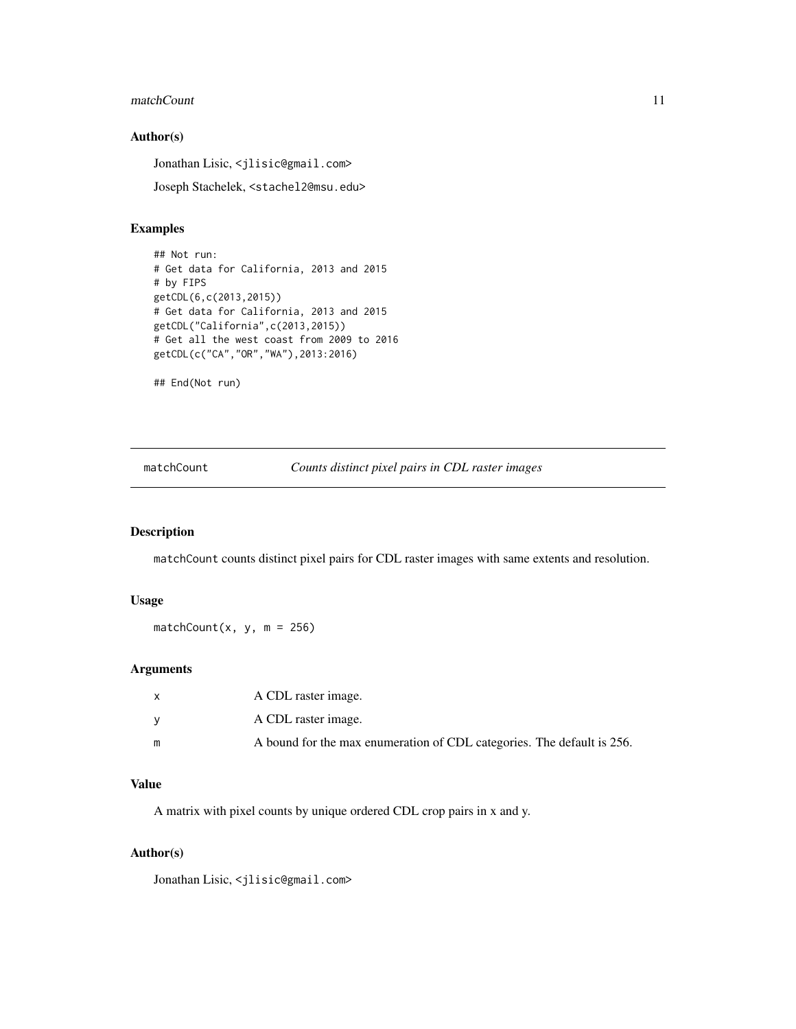#### <span id="page-10-0"></span>matchCount 11

#### Author(s)

Jonathan Lisic, <jlisic@gmail.com>

Joseph Stachelek, <stachel2@msu.edu>

#### Examples

```
## Not run:
# Get data for California, 2013 and 2015
# by FIPS
getCDL(6,c(2013,2015))
# Get data for California, 2013 and 2015
getCDL("California",c(2013,2015))
# Get all the west coast from 2009 to 2016
getCDL(c("CA","OR","WA"),2013:2016)
```

```
## End(Not run)
```
matchCount *Counts distinct pixel pairs in CDL raster images*

#### Description

matchCount counts distinct pixel pairs for CDL raster images with same extents and resolution.

#### Usage

 $matchCount(x, y, m = 256)$ 

#### Arguments

| X        | A CDL raster image.                                                    |
|----------|------------------------------------------------------------------------|
| <b>V</b> | A CDL raster image.                                                    |
| m        | A bound for the max enumeration of CDL categories. The default is 256. |

#### Value

A matrix with pixel counts by unique ordered CDL crop pairs in x and y.

#### Author(s)

Jonathan Lisic, <jlisic@gmail.com>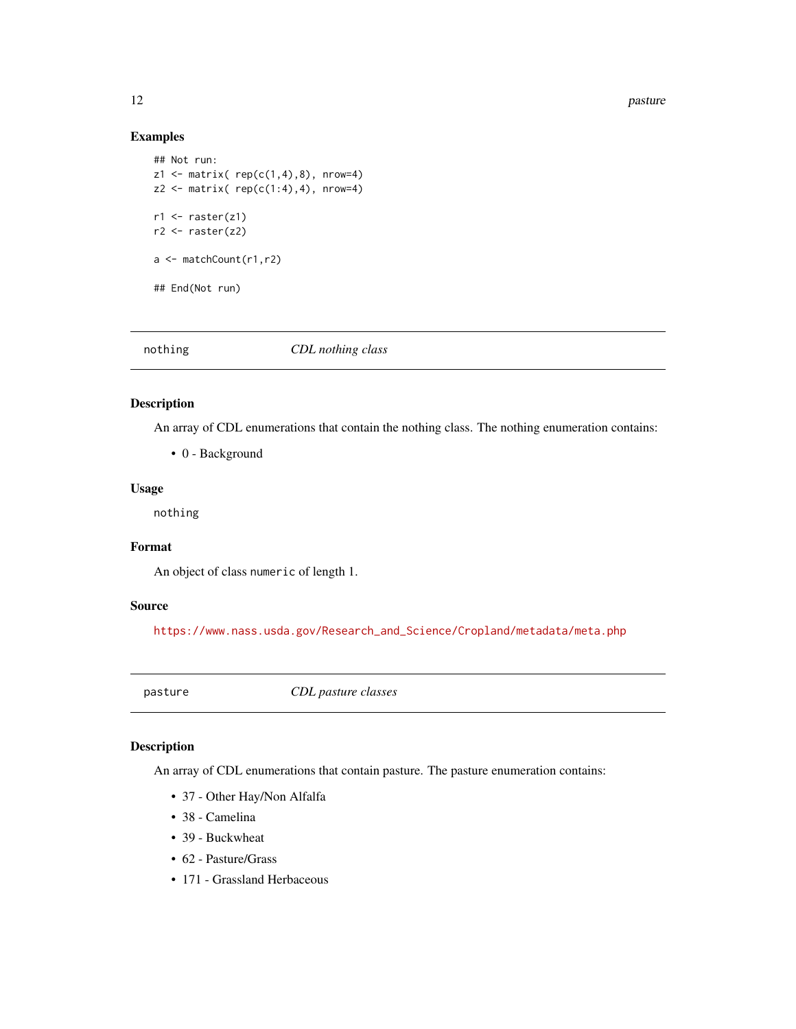#### Examples

```
## Not run:
z1 <- matrix( rep(c(1,4),8), nrow=4)
z2 \le - matrix( rep(c(1:4), 4), nrow=4)
r1 \leftarrow \text{raster}(z1)r2 <- raster(z2)
a <- matchCount(r1,r2)
## End(Not run)
```
nothing *CDL nothing class*

#### Description

An array of CDL enumerations that contain the nothing class. The nothing enumeration contains:

• 0 - Background

#### Usage

nothing

#### Format

An object of class numeric of length 1.

#### Source

[https://www.nass.usda.gov/Research\\_and\\_Science/Cropland/metadata/meta.php](https://www.nass.usda.gov/Research_and_Science/Cropland/metadata/meta.php)

pasture *CDL pasture classes*

#### Description

An array of CDL enumerations that contain pasture. The pasture enumeration contains:

- 37 Other Hay/Non Alfalfa
- 38 Camelina
- 39 Buckwheat
- 62 Pasture/Grass
- 171 Grassland Herbaceous

<span id="page-11-0"></span>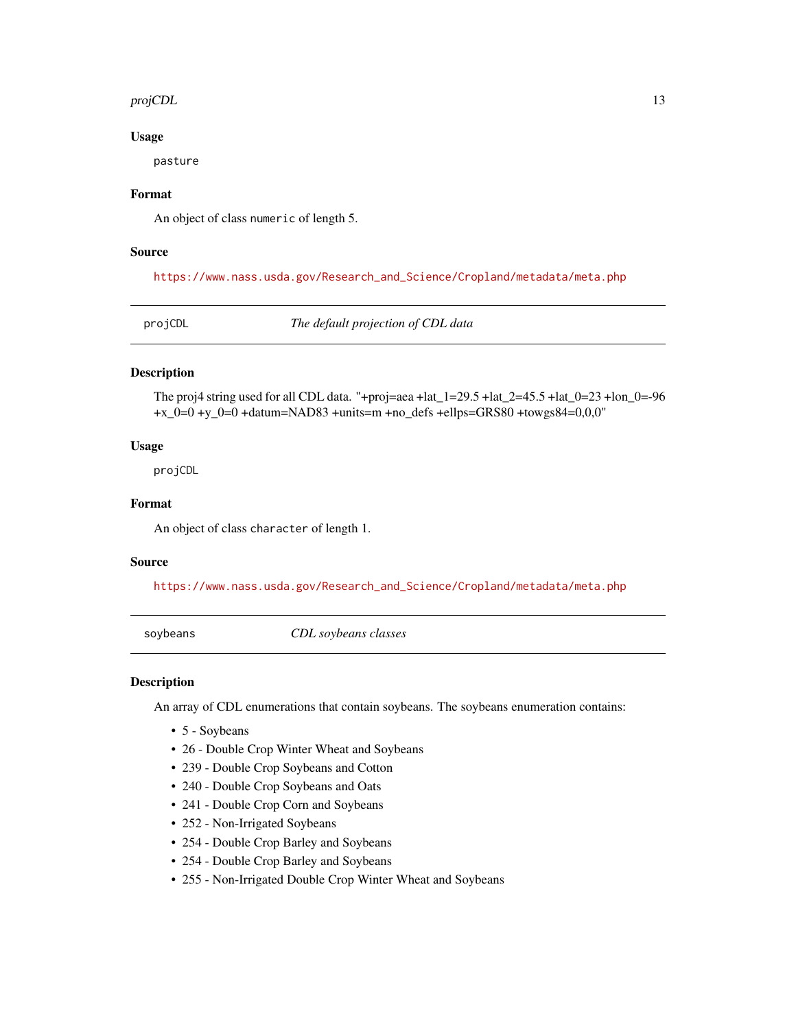#### <span id="page-12-0"></span>projCDL and the state of the state of the state of the state of the state of the state of the state of the state of the state of the state of the state of the state of the state of the state of the state of the state of th

#### Usage

pasture

#### Format

An object of class numeric of length 5.

#### Source

[https://www.nass.usda.gov/Research\\_and\\_Science/Cropland/metadata/meta.php](https://www.nass.usda.gov/Research_and_Science/Cropland/metadata/meta.php)

projCDL *The default projection of CDL data*

#### Description

The proj4 string used for all CDL data. "+proj=aea +lat\_1=29.5 +lat\_2=45.5 +lat\_0=23 +lon\_0=-96 +x\_0=0 +y\_0=0 +datum=NAD83 +units=m +no\_defs +ellps=GRS80 +towgs84=0,0,0"

#### Usage

projCDL

#### Format

An object of class character of length 1.

#### Source

[https://www.nass.usda.gov/Research\\_and\\_Science/Cropland/metadata/meta.php](https://www.nass.usda.gov/Research_and_Science/Cropland/metadata/meta.php)

soybeans *CDL soybeans classes*

#### Description

An array of CDL enumerations that contain soybeans. The soybeans enumeration contains:

- 5 Soybeans
- 26 Double Crop Winter Wheat and Soybeans
- 239 Double Crop Soybeans and Cotton
- 240 Double Crop Soybeans and Oats
- 241 Double Crop Corn and Soybeans
- 252 Non-Irrigated Soybeans
- 254 Double Crop Barley and Soybeans
- 254 Double Crop Barley and Soybeans
- 255 Non-Irrigated Double Crop Winter Wheat and Soybeans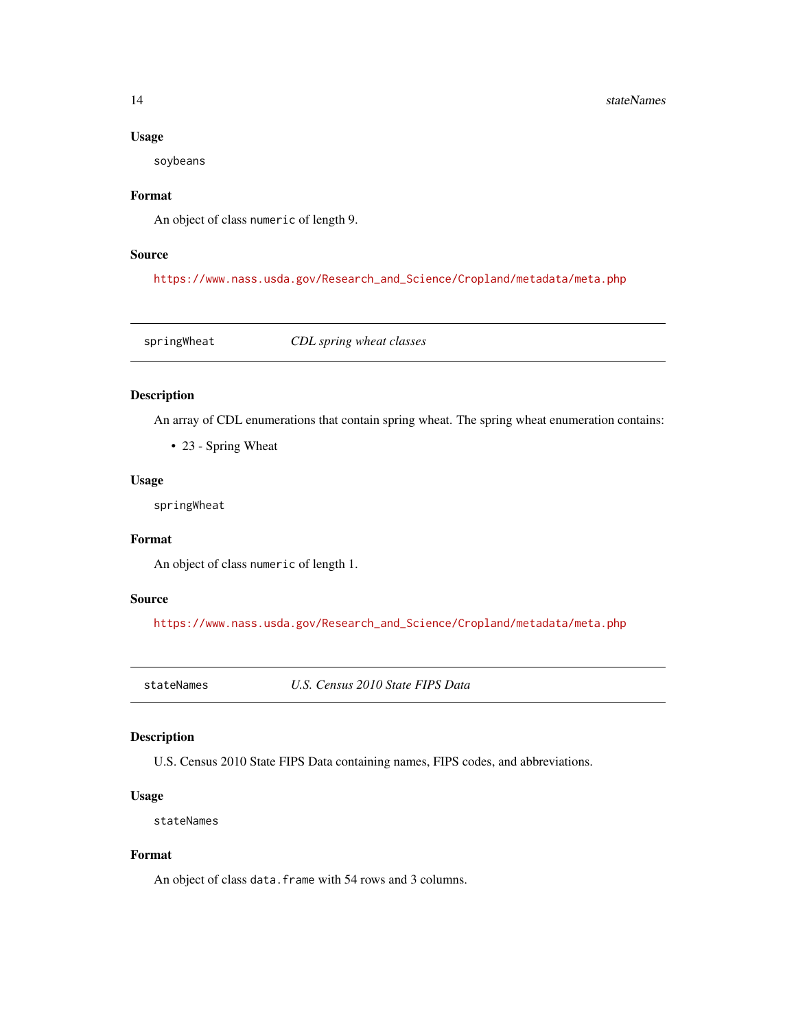#### <span id="page-13-0"></span>Usage

soybeans

#### Format

An object of class numeric of length 9.

#### Source

[https://www.nass.usda.gov/Research\\_and\\_Science/Cropland/metadata/meta.php](https://www.nass.usda.gov/Research_and_Science/Cropland/metadata/meta.php)

springWheat *CDL spring wheat classes*

#### Description

An array of CDL enumerations that contain spring wheat. The spring wheat enumeration contains:

• 23 - Spring Wheat

#### Usage

springWheat

#### Format

An object of class numeric of length 1.

#### Source

[https://www.nass.usda.gov/Research\\_and\\_Science/Cropland/metadata/meta.php](https://www.nass.usda.gov/Research_and_Science/Cropland/metadata/meta.php)

stateNames *U.S. Census 2010 State FIPS Data*

#### Description

U.S. Census 2010 State FIPS Data containing names, FIPS codes, and abbreviations.

#### Usage

stateNames

#### Format

An object of class data. frame with 54 rows and 3 columns.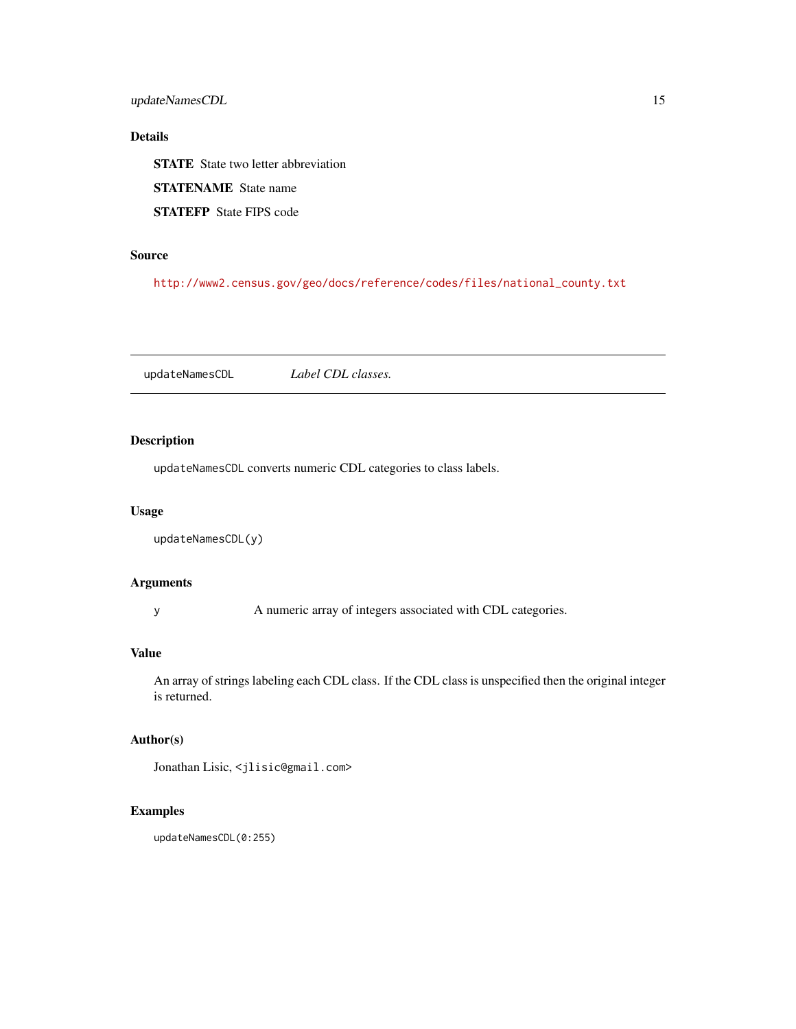<span id="page-14-0"></span>updateNamesCDL 15

#### Details

STATE State two letter abbreviation

STATENAME State name

STATEFP State FIPS code

#### Source

[http://www2.census.gov/geo/docs/reference/codes/files/national\\_county.txt](http://www2.census.gov/geo/docs/reference/codes/files/national_county.txt)

updateNamesCDL *Label CDL classes.*

#### Description

updateNamesCDL converts numeric CDL categories to class labels.

#### Usage

```
updateNamesCDL(y)
```
#### Arguments

y A numeric array of integers associated with CDL categories.

#### Value

An array of strings labeling each CDL class. If the CDL class is unspecified then the original integer is returned.

#### Author(s)

Jonathan Lisic, <jlisic@gmail.com>

#### Examples

updateNamesCDL(0:255)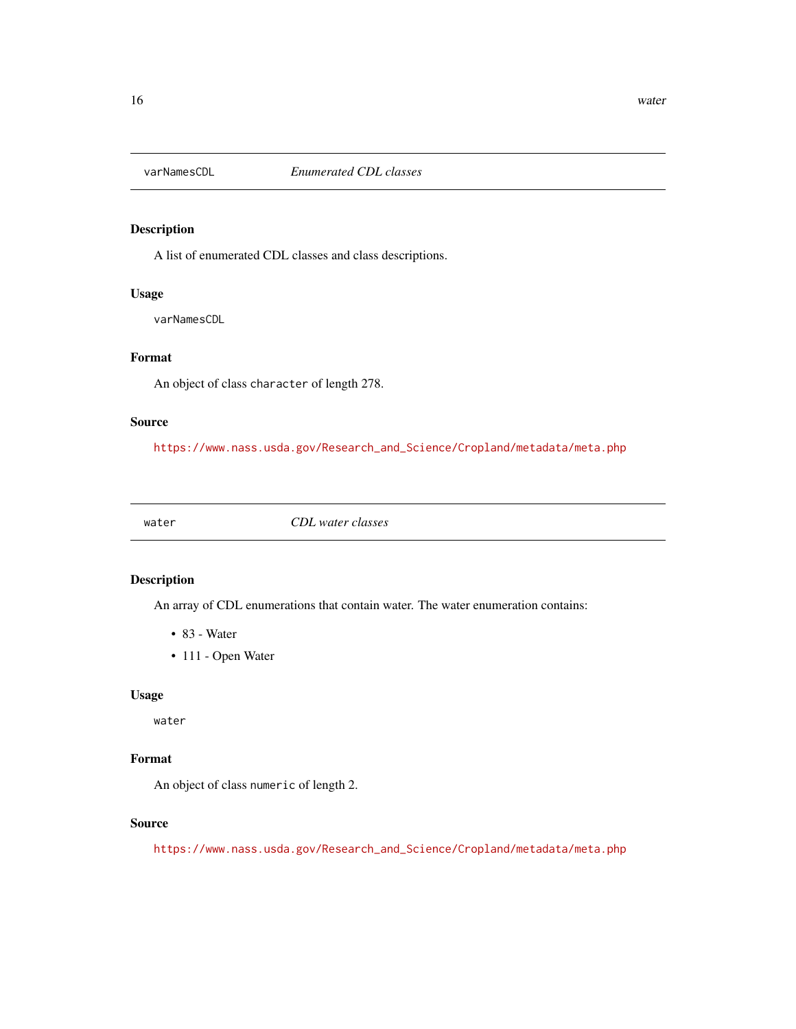<span id="page-15-0"></span>

A list of enumerated CDL classes and class descriptions.

#### Usage

varNamesCDL

### Format

An object of class character of length 278.

#### Source

[https://www.nass.usda.gov/Research\\_and\\_Science/Cropland/metadata/meta.php](https://www.nass.usda.gov/Research_and_Science/Cropland/metadata/meta.php)

water *CDL water classes*

#### Description

An array of CDL enumerations that contain water. The water enumeration contains:

- 83 Water
- 111 Open Water

#### Usage

water

#### Format

An object of class numeric of length 2.

#### Source

[https://www.nass.usda.gov/Research\\_and\\_Science/Cropland/metadata/meta.php](https://www.nass.usda.gov/Research_and_Science/Cropland/metadata/meta.php)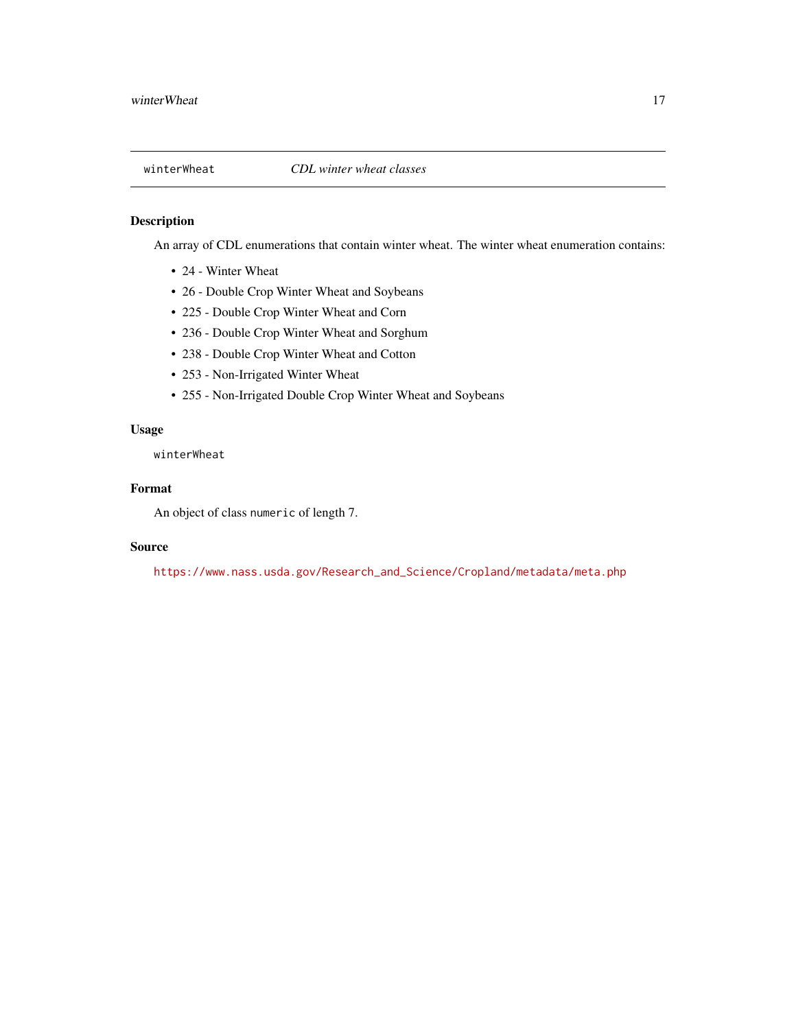<span id="page-16-0"></span>

An array of CDL enumerations that contain winter wheat. The winter wheat enumeration contains:

- 24 Winter Wheat
- 26 Double Crop Winter Wheat and Soybeans
- 225 Double Crop Winter Wheat and Corn
- 236 Double Crop Winter Wheat and Sorghum
- 238 Double Crop Winter Wheat and Cotton
- 253 Non-Irrigated Winter Wheat
- 255 Non-Irrigated Double Crop Winter Wheat and Soybeans

#### Usage

winterWheat

#### Format

An object of class numeric of length 7.

#### Source

[https://www.nass.usda.gov/Research\\_and\\_Science/Cropland/metadata/meta.php](https://www.nass.usda.gov/Research_and_Science/Cropland/metadata/meta.php)